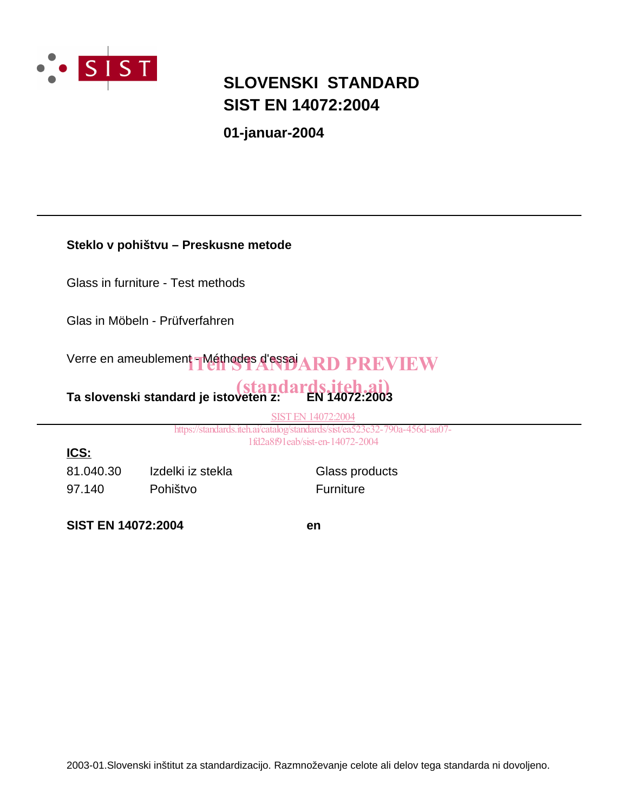

# **SIST EN 14072:2004 SLOVENSKI STANDARD**

**01-januar-2004**

**Steklo v pohištvu – Preskusne metode**

Glass in furniture - Test methods

Glas in Möbeln - Prüfverfahren

Verre en ameublement - Méthodes d'essai ARD PREVIEW

# **Ta slovenski standard je istoveten z: (standards.iteh.ai)**<br>Ta slovenski standard je istoveten z: (EN 14072:2003

SIST EN 14072:2004

https://standards.iteh.ai/catalog/standards/sist/ea523c32-790a-456d-aa07- 1fd2a8f91eab/sist-en-14072-2004

**ICS:**

97.140 Pohištvo **Furniture** 81.040.30 Izdelki iz stekla Glass products

**SIST EN 14072:2004 en**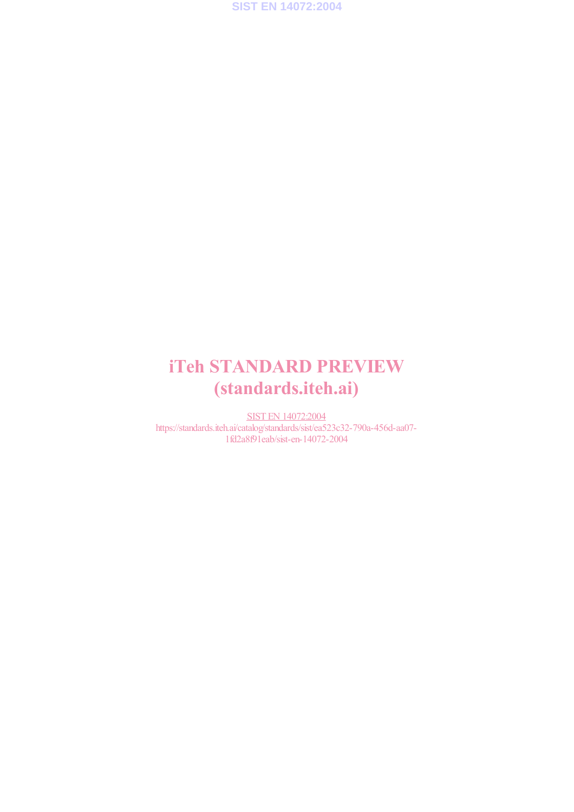

# iTeh STANDARD PREVIEW (standards.iteh.ai)

SIST EN 14072:2004 https://standards.iteh.ai/catalog/standards/sist/ea523c32-790a-456d-aa07- 1fd2a8f91eab/sist-en-14072-2004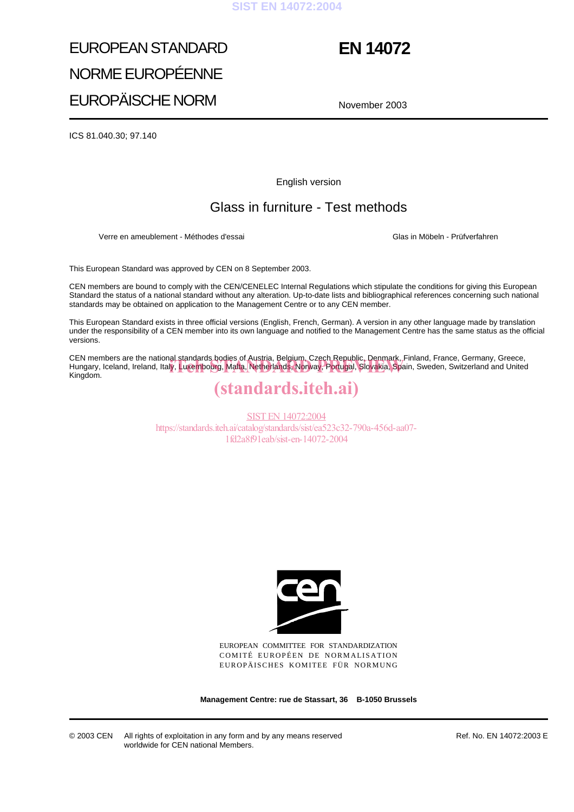#### **SIST EN 14072:2004**

# EUROPEAN STANDARD NORME EUROPÉENNE EUROPÄISCHE NORM

## **EN 14072**

November 2003

ICS 81.040.30; 97.140

English version

### Glass in furniture - Test methods

Verre en ameublement - Méthodes d'essai Glas in Möbeln - Prüfverfahren

This European Standard was approved by CEN on 8 September 2003.

CEN members are bound to comply with the CEN/CENELEC Internal Regulations which stipulate the conditions for giving this European Standard the status of a national standard without any alteration. Up-to-date lists and bibliographical references concerning such national standards may be obtained on application to the Management Centre or to any CEN member.

This European Standard exists in three official versions (English, French, German). A version in any other language made by translation under the responsibility of a CEN member into its own language and notified to the Management Centre has the same status as the official versions.

CEN members are the national standards bodies of Austria, Belgium, Czech Republic, Denmark, Finland, France, Germany, Greece, CEN members are me national standards bodies of Austria, Belgium, Czech Republic, Denmark, Finland, France, Germany, Greece,<br>Hungary, Iceland, Ireland, Italy, Luxembourg, Malta, Netherlands, Norway, Portugal, Slovakia, Spa Kingdom.

## (standards.iteh.ai)

SIST EN 14072:2004 https://standards.iteh.ai/catalog/standards/sist/ea523c32-790a-456d-aa07- 1fd2a8f91eab/sist-en-14072-2004



EUROPEAN COMMITTEE FOR STANDARDIZATION COMITÉ EUROPÉEN DE NORMALISATION EUROPÄISCHES KOMITEE FÜR NORMUNG

**Management Centre: rue de Stassart, 36 B-1050 Brussels**

© 2003 CEN All rights of exploitation in any form and by any means reserved worldwide for CEN national Members.

Ref. No. EN 14072:2003 E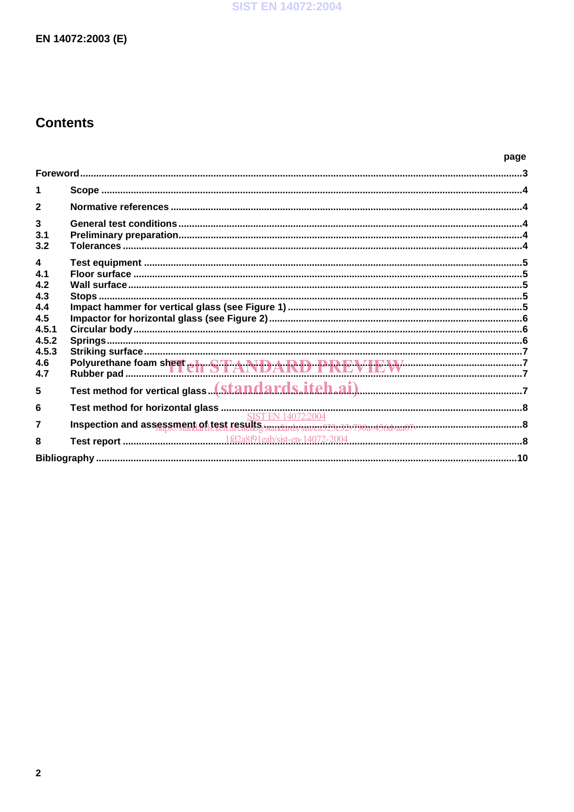### **SIST EN 14072:2004**

### EN 14072:2003 (E)

## **Contents**

| 1                                                                                            |  |  |
|----------------------------------------------------------------------------------------------|--|--|
| $\overline{2}$                                                                               |  |  |
| 3<br>3.1<br>3.2                                                                              |  |  |
| $\blacktriangle$<br>4.1<br>4.2<br>4.3<br>4.4<br>4.5<br>4.5.1<br>4.5.2<br>4.5.3<br>4.6<br>4.7 |  |  |
| 5                                                                                            |  |  |
| 6                                                                                            |  |  |
| 7                                                                                            |  |  |
| 8                                                                                            |  |  |
|                                                                                              |  |  |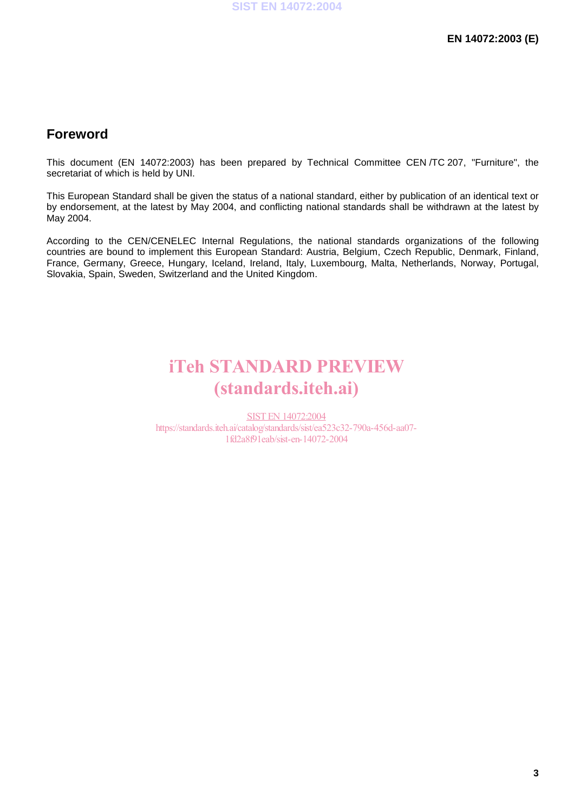### **Foreword**

This document (EN 14072:2003) has been prepared by Technical Committee CEN /TC 207, "Furniture", the secretariat of which is held by UNI.

This European Standard shall be given the status of a national standard, either by publication of an identical text or by endorsement, at the latest by May 2004, and conflicting national standards shall be withdrawn at the latest by May 2004.

According to the CEN/CENELEC Internal Regulations, the national standards organizations of the following countries are bound to implement this European Standard: Austria, Belgium, Czech Republic, Denmark, Finland, France, Germany, Greece, Hungary, Iceland, Ireland, Italy, Luxembourg, Malta, Netherlands, Norway, Portugal, Slovakia, Spain, Sweden, Switzerland and the United Kingdom.

# iTeh STANDARD PREVIEW (standards.iteh.ai)

SIST EN 14072:2004 https://standards.iteh.ai/catalog/standards/sist/ea523c32-790a-456d-aa07- 1fd2a8f91eab/sist-en-14072-2004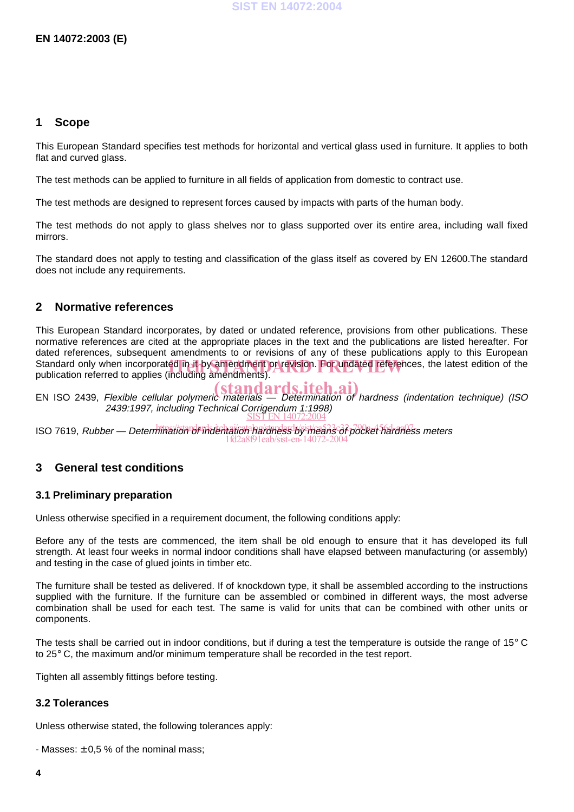#### **1 Scope**

This European Standard specifies test methods for horizontal and vertical glass used in furniture. It applies to both flat and curved glass.

The test methods can be applied to furniture in all fields of application from domestic to contract use.

The test methods are designed to represent forces caused by impacts with parts of the human body.

The test methods do not apply to glass shelves nor to glass supported over its entire area, including wall fixed mirrors.

The standard does not apply to testing and classification of the glass itself as covered by EN 12600.The standard does not include any requirements.

#### **2 Normative references**

This European Standard incorporates, by dated or undated reference, provisions from other publications. These normative references are cited at the appropriate places in the text and the publications are listed hereafter. For dated references, subsequent amendments to or revisions of any of these publications apply to this European Standard only when incorporated in it by amendment or revision. For undated references, the latest edition of the<br>publication referred to applies (including amendments). publication referred to applies (including amendments).

EN ISO 2439, Flexible cellular polymeric materials — Determination of hardness (indentation technique) (ISO 2439:1997, including Technical Corrigendum 1:1998) SIST EN 14072:2004

ISO 7619, Rubber — Determination of indentation hardness by means of pocket hardness meters  $1$ eab/sist-en- $140$ 

#### **3 General test conditions**

#### **3.1 Preliminary preparation**

Unless otherwise specified in a requirement document, the following conditions apply:

Before any of the tests are commenced, the item shall be old enough to ensure that it has developed its full strength. At least four weeks in normal indoor conditions shall have elapsed between manufacturing (or assembly) and testing in the case of glued joints in timber etc.

The furniture shall be tested as delivered. If of knockdown type, it shall be assembled according to the instructions supplied with the furniture. If the furniture can be assembled or combined in different ways, the most adverse combination shall be used for each test. The same is valid for units that can be combined with other units or components.

The tests shall be carried out in indoor conditions, but if during a test the temperature is outside the range of 15° C to 25° C, the maximum and/or minimum temperature shall be recorded in the test report.

Tighten all assembly fittings before testing.

#### **3.2 Tolerances**

Unless otherwise stated, the following tolerances apply:

- Masses:  $\pm$  0,5 % of the nominal mass;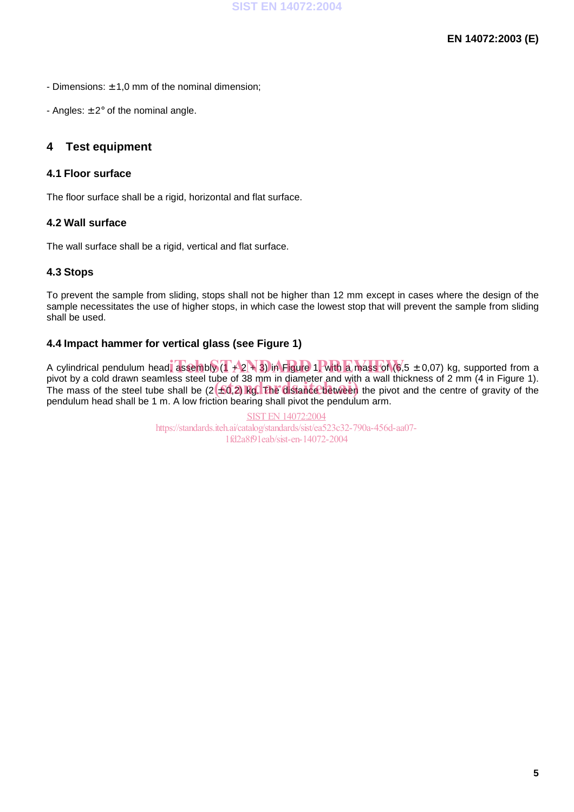- Dimensions:  $\pm$  1,0 mm of the nominal dimension;
- Angles:  $\pm 2^{\circ}$  of the nominal angle.

#### **4 Test equipment**

#### **4.1 Floor surface**

The floor surface shall be a rigid, horizontal and flat surface.

#### **4.2 Wall surface**

The wall surface shall be a rigid, vertical and flat surface.

#### **4.3 Stops**

To prevent the sample from sliding, stops shall not be higher than 12 mm except in cases where the design of the sample necessitates the use of higher stops, in which case the lowest stop that will prevent the sample from sliding shall be used.

#### **4.4 Impact hammer for vertical glass (see Figure 1)**

A cylindrical pendulum head, assembly  $(1 + 2 + 3)$  in Figure 1, with a mass of  $(6.5 \pm 0.07)$  kg, supported from a pivot by a cold drawn seamless steel tube of 38 mm in diameter and with a wall thickness of 2 mm (4 in Figure 1). pivot by a cold drawn seamless steel tube of so film in diameter and with a wall thickness of 2 mm (4 in Figure 1).<br>The mass of the steel tube shall be  $(2\pm 0.2)$  kg. The distance between the pivot and the centre of grav pendulum head shall be 1 m. A low friction bearing shall pivot the pendulum arm.

> SIST EN 14072:2004 https://standards.iteh.ai/catalog/standards/sist/ea523c32-790a-456d-aa07- 1fd2a8f91eab/sist-en-14072-2004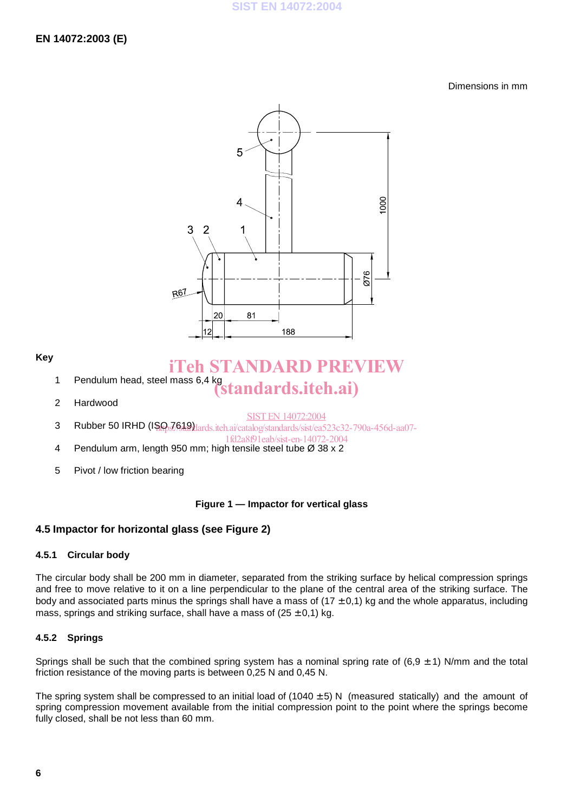Dimensions in mm



#### **Key**

#### 1 Pendulum head, steel mass 6,4 kg iTeh STANDARD PREVIEW andards.iteh.ai)

2 Hardwood

#### SIST EN 14072:2004

- 3 Rubber 50 IRHD (ISO 3619) lards.iteh.ai/catalog/standards/sist/ea523c32-790a-456d-aa07-
- 4 Pendulum arm, length 950 mm; high tensile steel tube Ø 38 x 2 1fd2a8f91eab/sist-en-14072-2004
- 5 Pivot / low friction bearing

#### **Figure 1 — Impactor for vertical glass**

#### **4.5 Impactor for horizontal glass (see Figure 2)**

#### **4.5.1 Circular body**

The circular body shall be 200 mm in diameter, separated from the striking surface by helical compression springs and free to move relative to it on a line perpendicular to the plane of the central area of the striking surface. The body and associated parts minus the springs shall have a mass of  $(17 \pm 0.1)$  kg and the whole apparatus, including mass, springs and striking surface, shall have a mass of  $(25 \pm 0.1)$  kg.

#### **4.5.2 Springs**

Springs shall be such that the combined spring system has a nominal spring rate of  $(6,9 \pm 1)$  N/mm and the total friction resistance of the moving parts is between 0,25 N and 0,45 N.

The spring system shall be compressed to an initial load of (1040  $\pm$  5) N (measured statically) and the amount of spring compression movement available from the initial compression point to the point where the springs become fully closed, shall be not less than 60 mm.